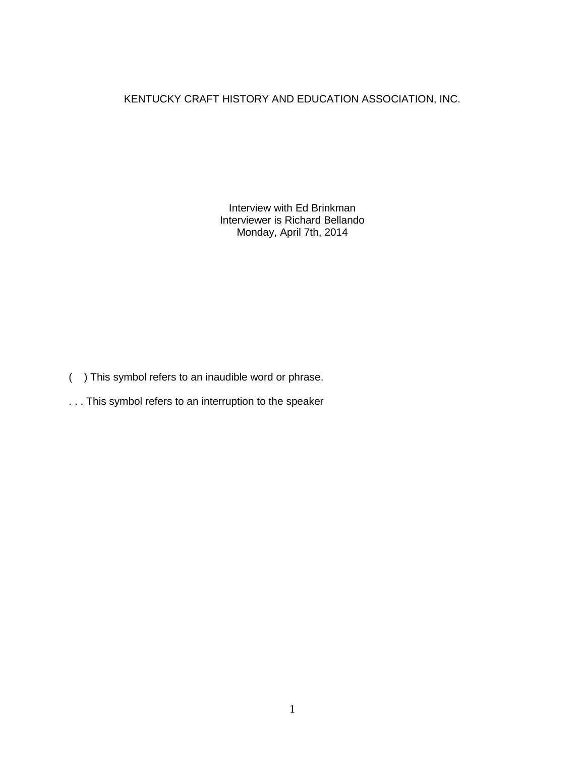## KENTUCKY CRAFT HISTORY AND EDUCATION ASSOCIATION, INC.

Interview with Ed Brinkman Interviewer is Richard Bellando Monday, April 7th, 2014

- ( ) This symbol refers to an inaudible word or phrase.
- . . . This symbol refers to an interruption to the speaker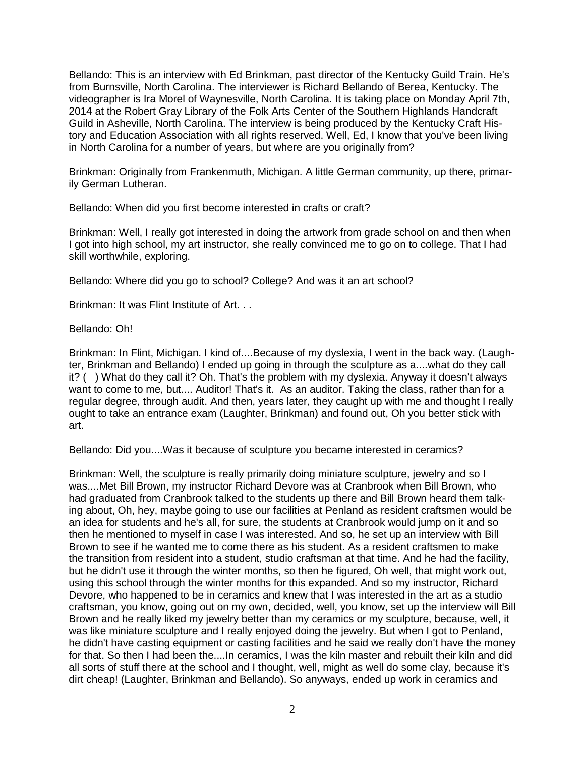Bellando: This is an interview with Ed Brinkman, past director of the Kentucky Guild Train. He's from Burnsville, North Carolina. The interviewer is Richard Bellando of Berea, Kentucky. The videographer is Ira Morel of Waynesville, North Carolina. It is taking place on Monday April 7th, 2014 at the Robert Gray Library of the Folk Arts Center of the Southern Highlands Handcraft Guild in Asheville, North Carolina. The interview is being produced by the Kentucky Craft History and Education Association with all rights reserved. Well, Ed, I know that you've been living in North Carolina for a number of years, but where are you originally from?

Brinkman: Originally from Frankenmuth, Michigan. A little German community, up there, primarily German Lutheran.

Bellando: When did you first become interested in crafts or craft?

Brinkman: Well, I really got interested in doing the artwork from grade school on and then when I got into high school, my art instructor, she really convinced me to go on to college. That I had skill worthwhile, exploring.

Bellando: Where did you go to school? College? And was it an art school?

Brinkman: It was Flint Institute of Art. . .

Bellando: Oh!

Brinkman: In Flint, Michigan. I kind of....Because of my dyslexia, I went in the back way. (Laughter, Brinkman and Bellando) I ended up going in through the sculpture as a....what do they call it? ( ) What do they call it? Oh. That's the problem with my dyslexia. Anyway it doesn't always want to come to me, but.... Auditor! That's it. As an auditor. Taking the class, rather than for a regular degree, through audit. And then, years later, they caught up with me and thought I really ought to take an entrance exam (Laughter, Brinkman) and found out, Oh you better stick with art.

Bellando: Did you....Was it because of sculpture you became interested in ceramics?

Brinkman: Well, the sculpture is really primarily doing miniature sculpture, jewelry and so I was....Met Bill Brown, my instructor Richard Devore was at Cranbrook when Bill Brown, who had graduated from Cranbrook talked to the students up there and Bill Brown heard them talking about, Oh, hey, maybe going to use our facilities at Penland as resident craftsmen would be an idea for students and he's all, for sure, the students at Cranbrook would jump on it and so then he mentioned to myself in case I was interested. And so, he set up an interview with Bill Brown to see if he wanted me to come there as his student. As a resident craftsmen to make the transition from resident into a student, studio craftsman at that time. And he had the facility, but he didn't use it through the winter months, so then he figured, Oh well, that might work out, using this school through the winter months for this expanded. And so my instructor, Richard Devore, who happened to be in ceramics and knew that I was interested in the art as a studio craftsman, you know, going out on my own, decided, well, you know, set up the interview will Bill Brown and he really liked my jewelry better than my ceramics or my sculpture, because, well, it was like miniature sculpture and I really enjoyed doing the jewelry. But when I got to Penland, he didn't have casting equipment or casting facilities and he said we really don't have the money for that. So then I had been the....In ceramics, I was the kiln master and rebuilt their kiln and did all sorts of stuff there at the school and I thought, well, might as well do some clay, because it's dirt cheap! (Laughter, Brinkman and Bellando). So anyways, ended up work in ceramics and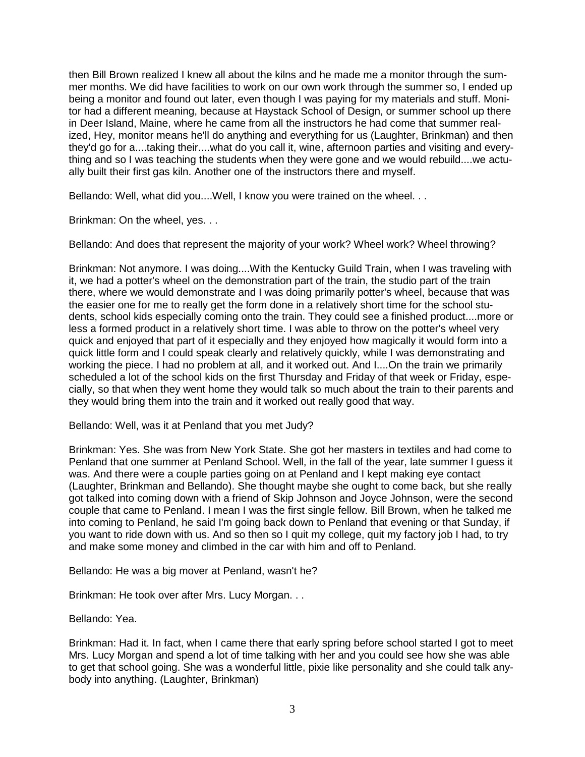then Bill Brown realized I knew all about the kilns and he made me a monitor through the summer months. We did have facilities to work on our own work through the summer so, I ended up being a monitor and found out later, even though I was paying for my materials and stuff. Monitor had a different meaning, because at Haystack School of Design, or summer school up there in Deer Island, Maine, where he came from all the instructors he had come that summer realized, Hey, monitor means he'll do anything and everything for us (Laughter, Brinkman) and then they'd go for a....taking their....what do you call it, wine, afternoon parties and visiting and everything and so I was teaching the students when they were gone and we would rebuild....we actually built their first gas kiln. Another one of the instructors there and myself.

Bellando: Well, what did you....Well, I know you were trained on the wheel. . .

Brinkman: On the wheel, yes. . .

Bellando: And does that represent the majority of your work? Wheel work? Wheel throwing?

Brinkman: Not anymore. I was doing....With the Kentucky Guild Train, when I was traveling with it, we had a potter's wheel on the demonstration part of the train, the studio part of the train there, where we would demonstrate and I was doing primarily potter's wheel, because that was the easier one for me to really get the form done in a relatively short time for the school students, school kids especially coming onto the train. They could see a finished product....more or less a formed product in a relatively short time. I was able to throw on the potter's wheel very quick and enjoyed that part of it especially and they enjoyed how magically it would form into a quick little form and I could speak clearly and relatively quickly, while I was demonstrating and working the piece. I had no problem at all, and it worked out. And I....On the train we primarily scheduled a lot of the school kids on the first Thursday and Friday of that week or Friday, especially, so that when they went home they would talk so much about the train to their parents and they would bring them into the train and it worked out really good that way.

Bellando: Well, was it at Penland that you met Judy?

Brinkman: Yes. She was from New York State. She got her masters in textiles and had come to Penland that one summer at Penland School. Well, in the fall of the year, late summer I guess it was. And there were a couple parties going on at Penland and I kept making eye contact (Laughter, Brinkman and Bellando). She thought maybe she ought to come back, but she really got talked into coming down with a friend of Skip Johnson and Joyce Johnson, were the second couple that came to Penland. I mean I was the first single fellow. Bill Brown, when he talked me into coming to Penland, he said I'm going back down to Penland that evening or that Sunday, if you want to ride down with us. And so then so I quit my college, quit my factory job I had, to try and make some money and climbed in the car with him and off to Penland.

Bellando: He was a big mover at Penland, wasn't he?

Brinkman: He took over after Mrs. Lucy Morgan. . .

Bellando: Yea.

Brinkman: Had it. In fact, when I came there that early spring before school started I got to meet Mrs. Lucy Morgan and spend a lot of time talking with her and you could see how she was able to get that school going. She was a wonderful little, pixie like personality and she could talk anybody into anything. (Laughter, Brinkman)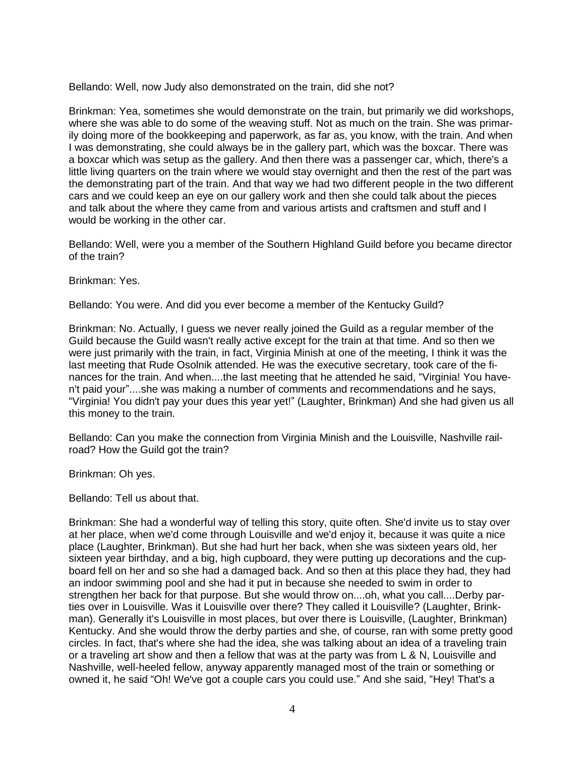Bellando: Well, now Judy also demonstrated on the train, did she not?

Brinkman: Yea, sometimes she would demonstrate on the train, but primarily we did workshops, where she was able to do some of the weaving stuff. Not as much on the train. She was primarily doing more of the bookkeeping and paperwork, as far as, you know, with the train. And when I was demonstrating, she could always be in the gallery part, which was the boxcar. There was a boxcar which was setup as the gallery. And then there was a passenger car, which, there's a little living quarters on the train where we would stay overnight and then the rest of the part was the demonstrating part of the train. And that way we had two different people in the two different cars and we could keep an eye on our gallery work and then she could talk about the pieces and talk about the where they came from and various artists and craftsmen and stuff and I would be working in the other car.

Bellando: Well, were you a member of the Southern Highland Guild before you became director of the train?

Brinkman: Yes.

Bellando: You were. And did you ever become a member of the Kentucky Guild?

Brinkman: No. Actually, I guess we never really joined the Guild as a regular member of the Guild because the Guild wasn't really active except for the train at that time. And so then we were just primarily with the train, in fact, Virginia Minish at one of the meeting, I think it was the last meeting that Rude Osolnik attended. He was the executive secretary, took care of the finances for the train. And when....the last meeting that he attended he said, "Virginia! You haven't paid your"....she was making a number of comments and recommendations and he says, "Virginia! You didn't pay your dues this year yet!" (Laughter, Brinkman) And she had given us all this money to the train.

Bellando: Can you make the connection from Virginia Minish and the Louisville, Nashville railroad? How the Guild got the train?

Brinkman: Oh yes.

Bellando: Tell us about that.

Brinkman: She had a wonderful way of telling this story, quite often. She'd invite us to stay over at her place, when we'd come through Louisville and we'd enjoy it, because it was quite a nice place (Laughter, Brinkman). But she had hurt her back, when she was sixteen years old, her sixteen year birthday, and a big, high cupboard, they were putting up decorations and the cupboard fell on her and so she had a damaged back. And so then at this place they had, they had an indoor swimming pool and she had it put in because she needed to swim in order to strengthen her back for that purpose. But she would throw on....oh, what you call....Derby parties over in Louisville. Was it Louisville over there? They called it Louisville? (Laughter, Brinkman). Generally it's Louisville in most places, but over there is Louisville, (Laughter, Brinkman) Kentucky. And she would throw the derby parties and she, of course, ran with some pretty good circles. In fact, that's where she had the idea, she was talking about an idea of a traveling train or a traveling art show and then a fellow that was at the party was from L & N, Louisville and Nashville, well-heeled fellow, anyway apparently managed most of the train or something or owned it, he said "Oh! We've got a couple cars you could use." And she said, "Hey! That's a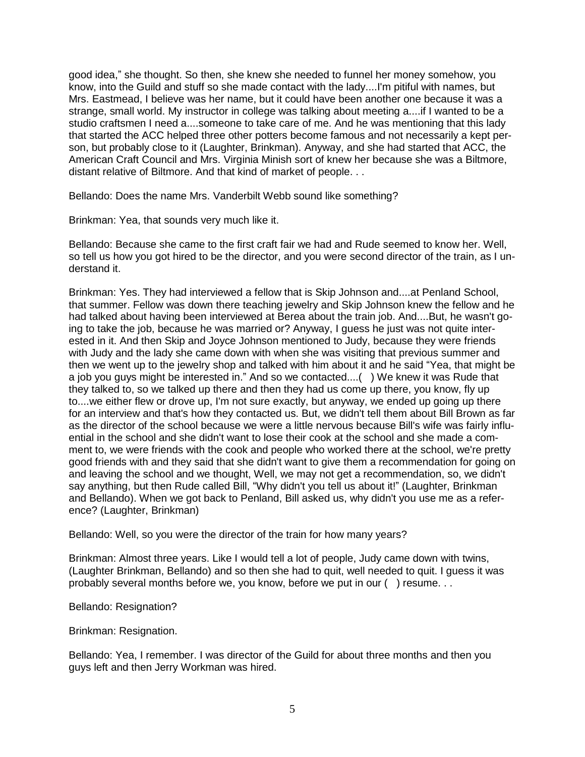good idea," she thought. So then, she knew she needed to funnel her money somehow, you know, into the Guild and stuff so she made contact with the lady....I'm pitiful with names, but Mrs. Eastmead, I believe was her name, but it could have been another one because it was a strange, small world. My instructor in college was talking about meeting a....if I wanted to be a studio craftsmen I need a....someone to take care of me. And he was mentioning that this lady that started the ACC helped three other potters become famous and not necessarily a kept person, but probably close to it (Laughter, Brinkman). Anyway, and she had started that ACC, the American Craft Council and Mrs. Virginia Minish sort of knew her because she was a Biltmore, distant relative of Biltmore. And that kind of market of people. . .

Bellando: Does the name Mrs. Vanderbilt Webb sound like something?

Brinkman: Yea, that sounds very much like it.

Bellando: Because she came to the first craft fair we had and Rude seemed to know her. Well, so tell us how you got hired to be the director, and you were second director of the train, as I understand it.

Brinkman: Yes. They had interviewed a fellow that is Skip Johnson and....at Penland School, that summer. Fellow was down there teaching jewelry and Skip Johnson knew the fellow and he had talked about having been interviewed at Berea about the train job. And....But, he wasn't going to take the job, because he was married or? Anyway, I guess he just was not quite interested in it. And then Skip and Joyce Johnson mentioned to Judy, because they were friends with Judy and the lady she came down with when she was visiting that previous summer and then we went up to the jewelry shop and talked with him about it and he said "Yea, that might be a job you guys might be interested in." And so we contacted....( ) We knew it was Rude that they talked to, so we talked up there and then they had us come up there, you know, fly up to....we either flew or drove up, I'm not sure exactly, but anyway, we ended up going up there for an interview and that's how they contacted us. But, we didn't tell them about Bill Brown as far as the director of the school because we were a little nervous because Bill's wife was fairly influential in the school and she didn't want to lose their cook at the school and she made a comment to, we were friends with the cook and people who worked there at the school, we're pretty good friends with and they said that she didn't want to give them a recommendation for going on and leaving the school and we thought, Well, we may not get a recommendation, so, we didn't say anything, but then Rude called Bill, "Why didn't you tell us about it!" (Laughter, Brinkman and Bellando). When we got back to Penland, Bill asked us, why didn't you use me as a reference? (Laughter, Brinkman)

Bellando: Well, so you were the director of the train for how many years?

Brinkman: Almost three years. Like I would tell a lot of people, Judy came down with twins, (Laughter Brinkman, Bellando) and so then she had to quit, well needed to quit. I guess it was probably several months before we, you know, before we put in our ( ) resume. . .

Bellando: Resignation?

Brinkman: Resignation.

Bellando: Yea, I remember. I was director of the Guild for about three months and then you guys left and then Jerry Workman was hired.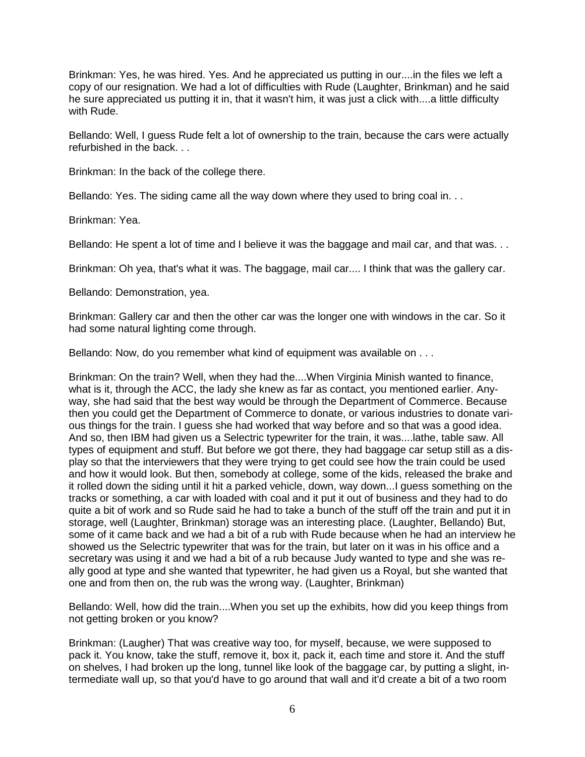Brinkman: Yes, he was hired. Yes. And he appreciated us putting in our....in the files we left a copy of our resignation. We had a lot of difficulties with Rude (Laughter, Brinkman) and he said he sure appreciated us putting it in, that it wasn't him, it was just a click with....a little difficulty with Rude.

Bellando: Well, I guess Rude felt a lot of ownership to the train, because the cars were actually refurbished in the back. . .

Brinkman: In the back of the college there.

Bellando: Yes. The siding came all the way down where they used to bring coal in...

Brinkman: Yea.

Bellando: He spent a lot of time and I believe it was the baggage and mail car, and that was. . .

Brinkman: Oh yea, that's what it was. The baggage, mail car.... I think that was the gallery car.

Bellando: Demonstration, yea.

Brinkman: Gallery car and then the other car was the longer one with windows in the car. So it had some natural lighting come through.

Bellando: Now, do you remember what kind of equipment was available on . . .

Brinkman: On the train? Well, when they had the....When Virginia Minish wanted to finance, what is it, through the ACC, the lady she knew as far as contact, you mentioned earlier. Anyway, she had said that the best way would be through the Department of Commerce. Because then you could get the Department of Commerce to donate, or various industries to donate various things for the train. I guess she had worked that way before and so that was a good idea. And so, then IBM had given us a Selectric typewriter for the train, it was....lathe, table saw. All types of equipment and stuff. But before we got there, they had baggage car setup still as a display so that the interviewers that they were trying to get could see how the train could be used and how it would look. But then, somebody at college, some of the kids, released the brake and it rolled down the siding until it hit a parked vehicle, down, way down...I guess something on the tracks or something, a car with loaded with coal and it put it out of business and they had to do quite a bit of work and so Rude said he had to take a bunch of the stuff off the train and put it in storage, well (Laughter, Brinkman) storage was an interesting place. (Laughter, Bellando) But, some of it came back and we had a bit of a rub with Rude because when he had an interview he showed us the Selectric typewriter that was for the train, but later on it was in his office and a secretary was using it and we had a bit of a rub because Judy wanted to type and she was really good at type and she wanted that typewriter, he had given us a Royal, but she wanted that one and from then on, the rub was the wrong way. (Laughter, Brinkman)

Bellando: Well, how did the train....When you set up the exhibits, how did you keep things from not getting broken or you know?

Brinkman: (Laugher) That was creative way too, for myself, because, we were supposed to pack it. You know, take the stuff, remove it, box it, pack it, each time and store it. And the stuff on shelves, I had broken up the long, tunnel like look of the baggage car, by putting a slight, intermediate wall up, so that you'd have to go around that wall and it'd create a bit of a two room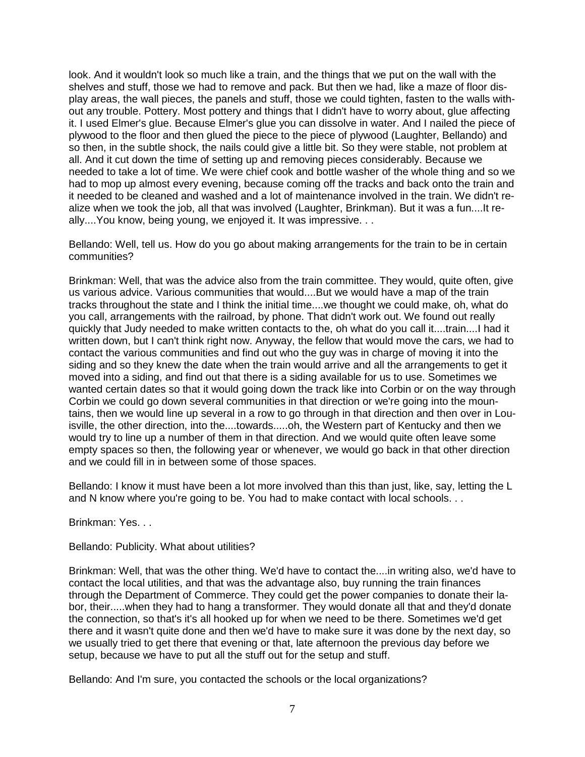look. And it wouldn't look so much like a train, and the things that we put on the wall with the shelves and stuff, those we had to remove and pack. But then we had, like a maze of floor display areas, the wall pieces, the panels and stuff, those we could tighten, fasten to the walls without any trouble. Pottery. Most pottery and things that I didn't have to worry about, glue affecting it. I used Elmer's glue. Because Elmer's glue you can dissolve in water. And I nailed the piece of plywood to the floor and then glued the piece to the piece of plywood (Laughter, Bellando) and so then, in the subtle shock, the nails could give a little bit. So they were stable, not problem at all. And it cut down the time of setting up and removing pieces considerably. Because we needed to take a lot of time. We were chief cook and bottle washer of the whole thing and so we had to mop up almost every evening, because coming off the tracks and back onto the train and it needed to be cleaned and washed and a lot of maintenance involved in the train. We didn't realize when we took the job, all that was involved (Laughter, Brinkman). But it was a fun....It really....You know, being young, we enjoyed it. It was impressive. . .

Bellando: Well, tell us. How do you go about making arrangements for the train to be in certain communities?

Brinkman: Well, that was the advice also from the train committee. They would, quite often, give us various advice. Various communities that would....But we would have a map of the train tracks throughout the state and I think the initial time....we thought we could make, oh, what do you call, arrangements with the railroad, by phone. That didn't work out. We found out really quickly that Judy needed to make written contacts to the, oh what do you call it....train....I had it written down, but I can't think right now. Anyway, the fellow that would move the cars, we had to contact the various communities and find out who the guy was in charge of moving it into the siding and so they knew the date when the train would arrive and all the arrangements to get it moved into a siding, and find out that there is a siding available for us to use. Sometimes we wanted certain dates so that it would going down the track like into Corbin or on the way through Corbin we could go down several communities in that direction or we're going into the mountains, then we would line up several in a row to go through in that direction and then over in Louisville, the other direction, into the....towards.....oh, the Western part of Kentucky and then we would try to line up a number of them in that direction. And we would quite often leave some empty spaces so then, the following year or whenever, we would go back in that other direction and we could fill in in between some of those spaces.

Bellando: I know it must have been a lot more involved than this than just, like, say, letting the L and N know where you're going to be. You had to make contact with local schools. . .

Brinkman: Yes. . .

Bellando: Publicity. What about utilities?

Brinkman: Well, that was the other thing. We'd have to contact the....in writing also, we'd have to contact the local utilities, and that was the advantage also, buy running the train finances through the Department of Commerce. They could get the power companies to donate their labor, their.....when they had to hang a transformer. They would donate all that and they'd donate the connection, so that's it's all hooked up for when we need to be there. Sometimes we'd get there and it wasn't quite done and then we'd have to make sure it was done by the next day, so we usually tried to get there that evening or that, late afternoon the previous day before we setup, because we have to put all the stuff out for the setup and stuff.

Bellando: And I'm sure, you contacted the schools or the local organizations?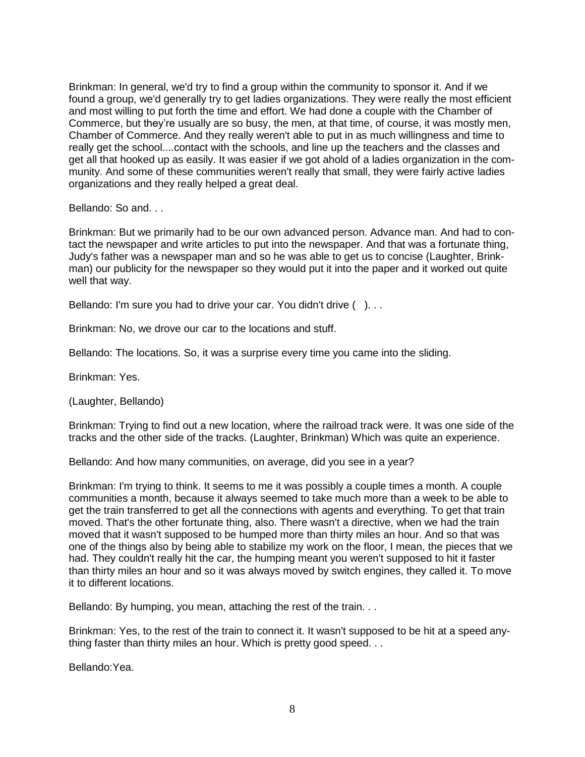Brinkman: In general, we'd try to find a group within the community to sponsor it. And if we found a group, we'd generally try to get ladies organizations. They were really the most efficient and most willing to put forth the time and effort. We had done a couple with the Chamber of Commerce, but they're usually are so busy, the men, at that time, of course, it was mostly men, Chamber of Commerce. And they really weren't able to put in as much willingness and time to really get the school....contact with the schools, and line up the teachers and the classes and get all that hooked up as easily. It was easier if we got ahold of a ladies organization in the community. And some of these communities weren't really that small, they were fairly active ladies organizations and they really helped a great deal.

Bellando: So and. . .

Brinkman: But we primarily had to be our own advanced person. Advance man. And had to contact the newspaper and write articles to put into the newspaper. And that was a fortunate thing, Judy's father was a newspaper man and so he was able to get us to concise (Laughter, Brinkman) our publicity for the newspaper so they would put it into the paper and it worked out quite well that way.

Bellando: I'm sure you had to drive your car. You didn't drive ()...

Brinkman: No, we drove our car to the locations and stuff.

Bellando: The locations. So, it was a surprise every time you came into the sliding.

Brinkman: Yes.

(Laughter, Bellando)

Brinkman: Trying to find out a new location, where the railroad track were. It was one side of the tracks and the other side of the tracks. (Laughter, Brinkman) Which was quite an experience.

Bellando: And how many communities, on average, did you see in a year?

Brinkman: I'm trying to think. It seems to me it was possibly a couple times a month. A couple communities a month, because it always seemed to take much more than a week to be able to get the train transferred to get all the connections with agents and everything. To get that train moved. That's the other fortunate thing, also. There wasn't a directive, when we had the train moved that it wasn't supposed to be humped more than thirty miles an hour. And so that was one of the things also by being able to stabilize my work on the floor, I mean, the pieces that we had. They couldn't really hit the car, the humping meant you weren't supposed to hit it faster than thirty miles an hour and so it was always moved by switch engines, they called it. To move it to different locations.

Bellando: By humping, you mean, attaching the rest of the train. . .

Brinkman: Yes, to the rest of the train to connect it. It wasn't supposed to be hit at a speed anything faster than thirty miles an hour. Which is pretty good speed. . .

Bellando:Yea.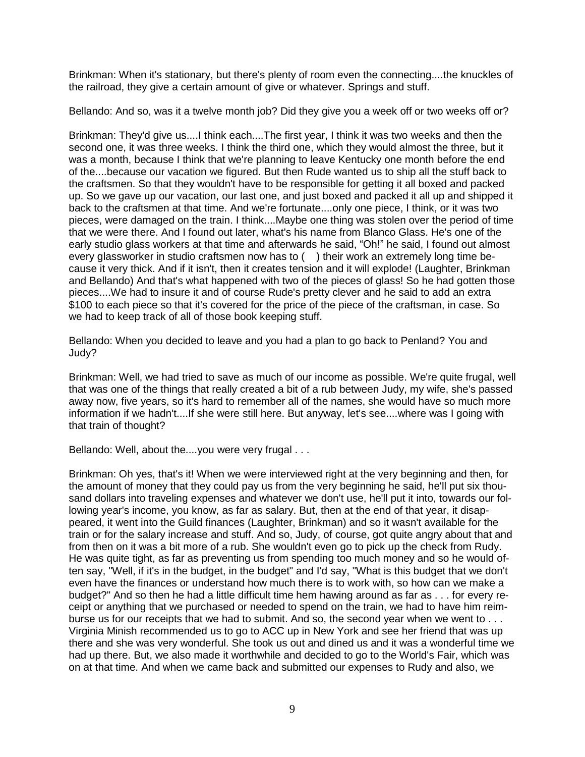Brinkman: When it's stationary, but there's plenty of room even the connecting....the knuckles of the railroad, they give a certain amount of give or whatever. Springs and stuff.

Bellando: And so, was it a twelve month job? Did they give you a week off or two weeks off or?

Brinkman: They'd give us....I think each....The first year, I think it was two weeks and then the second one, it was three weeks. I think the third one, which they would almost the three, but it was a month, because I think that we're planning to leave Kentucky one month before the end of the....because our vacation we figured. But then Rude wanted us to ship all the stuff back to the craftsmen. So that they wouldn't have to be responsible for getting it all boxed and packed up. So we gave up our vacation, our last one, and just boxed and packed it all up and shipped it back to the craftsmen at that time. And we're fortunate....only one piece, I think, or it was two pieces, were damaged on the train. I think....Maybe one thing was stolen over the period of time that we were there. And I found out later, what's his name from Blanco Glass. He's one of the early studio glass workers at that time and afterwards he said, "Oh!" he said, I found out almost every glassworker in studio craftsmen now has to () their work an extremely long time because it very thick. And if it isn't, then it creates tension and it will explode! (Laughter, Brinkman and Bellando) And that's what happened with two of the pieces of glass! So he had gotten those pieces....We had to insure it and of course Rude's pretty clever and he said to add an extra \$100 to each piece so that it's covered for the price of the piece of the craftsman, in case. So we had to keep track of all of those book keeping stuff.

Bellando: When you decided to leave and you had a plan to go back to Penland? You and Judy?

Brinkman: Well, we had tried to save as much of our income as possible. We're quite frugal, well that was one of the things that really created a bit of a rub between Judy, my wife, she's passed away now, five years, so it's hard to remember all of the names, she would have so much more information if we hadn't....If she were still here. But anyway, let's see....where was I going with that train of thought?

Bellando: Well, about the....you were very frugal . . .

Brinkman: Oh yes, that's it! When we were interviewed right at the very beginning and then, for the amount of money that they could pay us from the very beginning he said, he'll put six thousand dollars into traveling expenses and whatever we don't use, he'll put it into, towards our following year's income, you know, as far as salary. But, then at the end of that year, it disappeared, it went into the Guild finances (Laughter, Brinkman) and so it wasn't available for the train or for the salary increase and stuff. And so, Judy, of course, got quite angry about that and from then on it was a bit more of a rub. She wouldn't even go to pick up the check from Rudy. He was quite tight, as far as preventing us from spending too much money and so he would often say, "Well, if it's in the budget, in the budget" and I'd say, "What is this budget that we don't even have the finances or understand how much there is to work with, so how can we make a budget?" And so then he had a little difficult time hem hawing around as far as . . . for every receipt or anything that we purchased or needed to spend on the train, we had to have him reimburse us for our receipts that we had to submit. And so, the second year when we went to . . . Virginia Minish recommended us to go to ACC up in New York and see her friend that was up there and she was very wonderful. She took us out and dined us and it was a wonderful time we had up there. But, we also made it worthwhile and decided to go to the World's Fair, which was on at that time. And when we came back and submitted our expenses to Rudy and also, we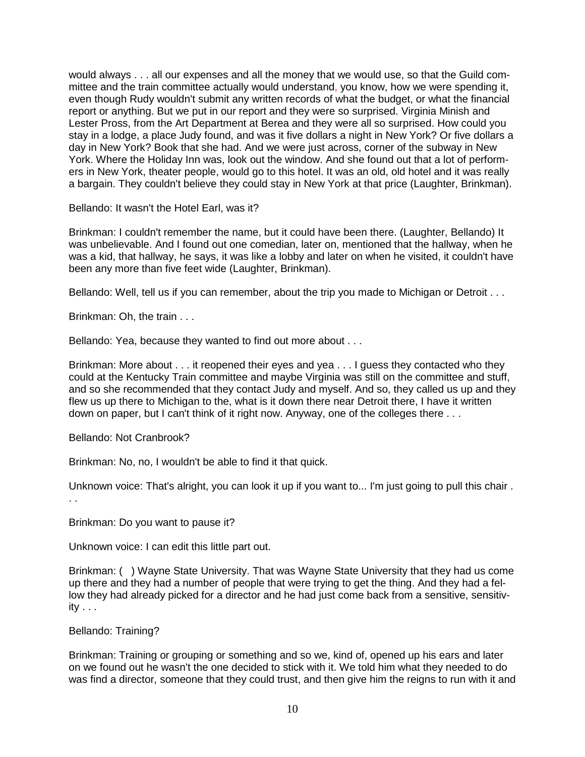would always . . . all our expenses and all the money that we would use, so that the Guild committee and the train committee actually would understand, you know, how we were spending it, even though Rudy wouldn't submit any written records of what the budget, or what the financial report or anything. But we put in our report and they were so surprised. Virginia Minish and Lester Pross, from the Art Department at Berea and they were all so surprised. How could you stay in a lodge, a place Judy found, and was it five dollars a night in New York? Or five dollars a day in New York? Book that she had. And we were just across, corner of the subway in New York. Where the Holiday Inn was, look out the window. And she found out that a lot of performers in New York, theater people, would go to this hotel. It was an old, old hotel and it was really a bargain. They couldn't believe they could stay in New York at that price (Laughter, Brinkman).

Bellando: It wasn't the Hotel Earl, was it?

Brinkman: I couldn't remember the name, but it could have been there. (Laughter, Bellando) It was unbelievable. And I found out one comedian, later on, mentioned that the hallway, when he was a kid, that hallway, he says, it was like a lobby and later on when he visited, it couldn't have been any more than five feet wide (Laughter, Brinkman).

Bellando: Well, tell us if you can remember, about the trip you made to Michigan or Detroit . . .

Brinkman: Oh, the train . . .

Bellando: Yea, because they wanted to find out more about . . .

Brinkman: More about . . . it reopened their eyes and yea . . . I guess they contacted who they could at the Kentucky Train committee and maybe Virginia was still on the committee and stuff, and so she recommended that they contact Judy and myself. And so, they called us up and they flew us up there to Michigan to the, what is it down there near Detroit there, I have it written down on paper, but I can't think of it right now. Anyway, one of the colleges there . . .

Bellando: Not Cranbrook?

Brinkman: No, no, I wouldn't be able to find it that quick.

Unknown voice: That's alright, you can look it up if you want to... I'm just going to pull this chair . . .

Brinkman: Do you want to pause it?

Unknown voice: I can edit this little part out.

Brinkman: ( ) Wayne State University. That was Wayne State University that they had us come up there and they had a number of people that were trying to get the thing. And they had a fellow they had already picked for a director and he had just come back from a sensitive, sensitivity . . .

Bellando: Training?

Brinkman: Training or grouping or something and so we, kind of, opened up his ears and later on we found out he wasn't the one decided to stick with it. We told him what they needed to do was find a director, someone that they could trust, and then give him the reigns to run with it and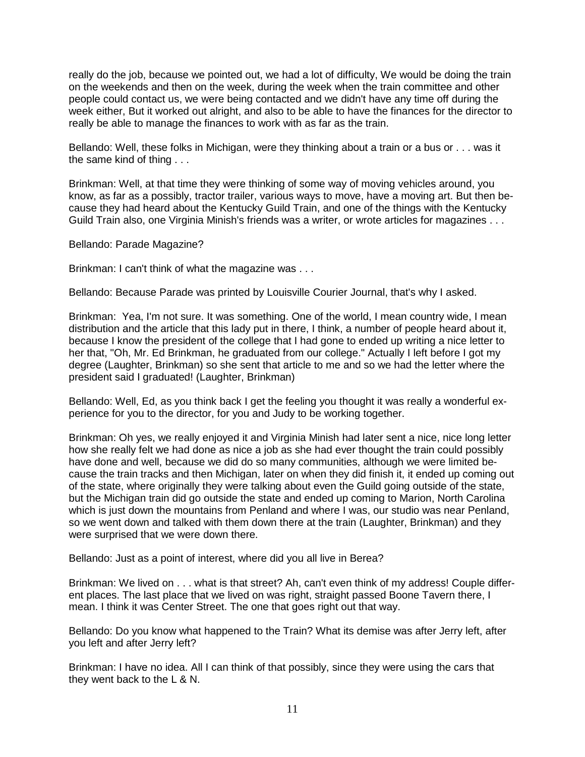really do the job, because we pointed out, we had a lot of difficulty, We would be doing the train on the weekends and then on the week, during the week when the train committee and other people could contact us, we were being contacted and we didn't have any time off during the week either, But it worked out alright, and also to be able to have the finances for the director to really be able to manage the finances to work with as far as the train.

Bellando: Well, these folks in Michigan, were they thinking about a train or a bus or . . . was it the same kind of thing . . .

Brinkman: Well, at that time they were thinking of some way of moving vehicles around, you know, as far as a possibly, tractor trailer, various ways to move, have a moving art. But then because they had heard about the Kentucky Guild Train, and one of the things with the Kentucky Guild Train also, one Virginia Minish's friends was a writer, or wrote articles for magazines . . .

Bellando: Parade Magazine?

Brinkman: I can't think of what the magazine was . . .

Bellando: Because Parade was printed by Louisville Courier Journal, that's why I asked.

Brinkman: Yea, I'm not sure. It was something. One of the world, I mean country wide, I mean distribution and the article that this lady put in there, I think, a number of people heard about it, because I know the president of the college that I had gone to ended up writing a nice letter to her that, "Oh, Mr. Ed Brinkman, he graduated from our college." Actually I left before I got my degree (Laughter, Brinkman) so she sent that article to me and so we had the letter where the president said I graduated! (Laughter, Brinkman)

Bellando: Well, Ed, as you think back I get the feeling you thought it was really a wonderful experience for you to the director, for you and Judy to be working together.

Brinkman: Oh yes, we really enjoyed it and Virginia Minish had later sent a nice, nice long letter how she really felt we had done as nice a job as she had ever thought the train could possibly have done and well, because we did do so many communities, although we were limited because the train tracks and then Michigan, later on when they did finish it, it ended up coming out of the state, where originally they were talking about even the Guild going outside of the state, but the Michigan train did go outside the state and ended up coming to Marion, North Carolina which is just down the mountains from Penland and where I was, our studio was near Penland, so we went down and talked with them down there at the train (Laughter, Brinkman) and they were surprised that we were down there.

Bellando: Just as a point of interest, where did you all live in Berea?

Brinkman: We lived on . . . what is that street? Ah, can't even think of my address! Couple different places. The last place that we lived on was right, straight passed Boone Tavern there, I mean. I think it was Center Street. The one that goes right out that way.

Bellando: Do you know what happened to the Train? What its demise was after Jerry left, after you left and after Jerry left?

Brinkman: I have no idea. All I can think of that possibly, since they were using the cars that they went back to the L & N.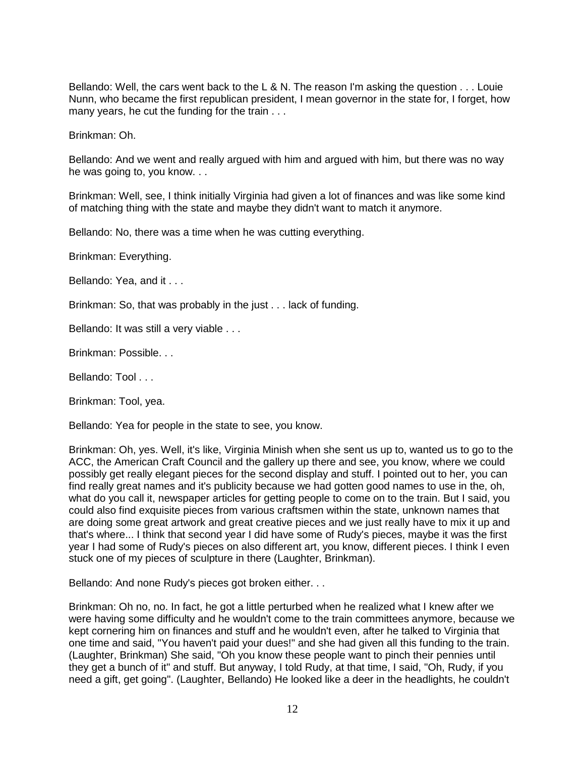Bellando: Well, the cars went back to the L & N. The reason I'm asking the question . . . Louie Nunn, who became the first republican president, I mean governor in the state for, I forget, how many years, he cut the funding for the train . . .

Brinkman: Oh.

Bellando: And we went and really argued with him and argued with him, but there was no way he was going to, you know. . .

Brinkman: Well, see, I think initially Virginia had given a lot of finances and was like some kind of matching thing with the state and maybe they didn't want to match it anymore.

Bellando: No, there was a time when he was cutting everything.

Brinkman: Everything.

Bellando: Yea, and it . . .

Brinkman: So, that was probably in the just . . . lack of funding.

Bellando: It was still a very viable . . .

Brinkman: Possible. . .

Bellando: Tool

Brinkman: Tool, yea.

Bellando: Yea for people in the state to see, you know.

Brinkman: Oh, yes. Well, it's like, Virginia Minish when she sent us up to, wanted us to go to the ACC, the American Craft Council and the gallery up there and see, you know, where we could possibly get really elegant pieces for the second display and stuff. I pointed out to her, you can find really great names and it's publicity because we had gotten good names to use in the, oh, what do you call it, newspaper articles for getting people to come on to the train. But I said, you could also find exquisite pieces from various craftsmen within the state, unknown names that are doing some great artwork and great creative pieces and we just really have to mix it up and that's where... I think that second year I did have some of Rudy's pieces, maybe it was the first year I had some of Rudy's pieces on also different art, you know, different pieces. I think I even stuck one of my pieces of sculpture in there (Laughter, Brinkman).

Bellando: And none Rudy's pieces got broken either. . .

Brinkman: Oh no, no. In fact, he got a little perturbed when he realized what I knew after we were having some difficulty and he wouldn't come to the train committees anymore, because we kept cornering him on finances and stuff and he wouldn't even, after he talked to Virginia that one time and said, "You haven't paid your dues!" and she had given all this funding to the train. (Laughter, Brinkman) She said, "Oh you know these people want to pinch their pennies until they get a bunch of it" and stuff. But anyway, I told Rudy, at that time, I said, "Oh, Rudy, if you need a gift, get going". (Laughter, Bellando) He looked like a deer in the headlights, he couldn't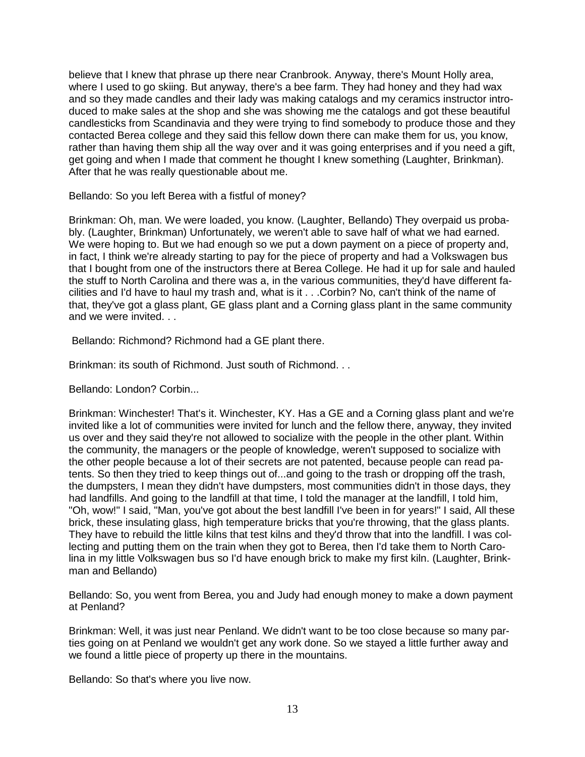believe that I knew that phrase up there near Cranbrook. Anyway, there's Mount Holly area, where I used to go skiing. But anyway, there's a bee farm. They had honey and they had wax and so they made candles and their lady was making catalogs and my ceramics instructor introduced to make sales at the shop and she was showing me the catalogs and got these beautiful candlesticks from Scandinavia and they were trying to find somebody to produce those and they contacted Berea college and they said this fellow down there can make them for us, you know, rather than having them ship all the way over and it was going enterprises and if you need a gift, get going and when I made that comment he thought I knew something (Laughter, Brinkman). After that he was really questionable about me.

Bellando: So you left Berea with a fistful of money?

Brinkman: Oh, man. We were loaded, you know. (Laughter, Bellando) They overpaid us probably. (Laughter, Brinkman) Unfortunately, we weren't able to save half of what we had earned. We were hoping to. But we had enough so we put a down payment on a piece of property and, in fact, I think we're already starting to pay for the piece of property and had a Volkswagen bus that I bought from one of the instructors there at Berea College. He had it up for sale and hauled the stuff to North Carolina and there was a, in the various communities, they'd have different facilities and I'd have to haul my trash and, what is it . . .Corbin? No, can't think of the name of that, they've got a glass plant, GE glass plant and a Corning glass plant in the same community and we were invited. . .

Bellando: Richmond? Richmond had a GE plant there.

Brinkman: its south of Richmond. Just south of Richmond. . .

Bellando: London? Corbin...

Brinkman: Winchester! That's it. Winchester, KY. Has a GE and a Corning glass plant and we're invited like a lot of communities were invited for lunch and the fellow there, anyway, they invited us over and they said they're not allowed to socialize with the people in the other plant. Within the community, the managers or the people of knowledge, weren't supposed to socialize with the other people because a lot of their secrets are not patented, because people can read patents. So then they tried to keep things out of...and going to the trash or dropping off the trash, the dumpsters, I mean they didn't have dumpsters, most communities didn't in those days, they had landfills. And going to the landfill at that time, I told the manager at the landfill, I told him, "Oh, wow!" I said, "Man, you've got about the best landfill I've been in for years!" I said, All these brick, these insulating glass, high temperature bricks that you're throwing, that the glass plants. They have to rebuild the little kilns that test kilns and they'd throw that into the landfill. I was collecting and putting them on the train when they got to Berea, then I'd take them to North Carolina in my little Volkswagen bus so I'd have enough brick to make my first kiln. (Laughter, Brinkman and Bellando)

Bellando: So, you went from Berea, you and Judy had enough money to make a down payment at Penland?

Brinkman: Well, it was just near Penland. We didn't want to be too close because so many parties going on at Penland we wouldn't get any work done. So we stayed a little further away and we found a little piece of property up there in the mountains.

Bellando: So that's where you live now.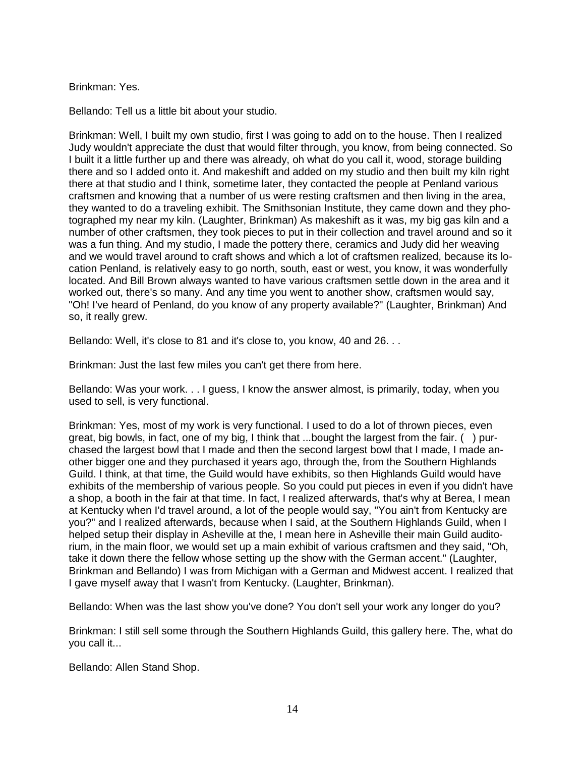## Brinkman: Yes.

Bellando: Tell us a little bit about your studio.

Brinkman: Well, I built my own studio, first I was going to add on to the house. Then I realized Judy wouldn't appreciate the dust that would filter through, you know, from being connected. So I built it a little further up and there was already, oh what do you call it, wood, storage building there and so I added onto it. And makeshift and added on my studio and then built my kiln right there at that studio and I think, sometime later, they contacted the people at Penland various craftsmen and knowing that a number of us were resting craftsmen and then living in the area, they wanted to do a traveling exhibit. The Smithsonian Institute, they came down and they photographed my near my kiln. (Laughter, Brinkman) As makeshift as it was, my big gas kiln and a number of other craftsmen, they took pieces to put in their collection and travel around and so it was a fun thing. And my studio, I made the pottery there, ceramics and Judy did her weaving and we would travel around to craft shows and which a lot of craftsmen realized, because its location Penland, is relatively easy to go north, south, east or west, you know, it was wonderfully located. And Bill Brown always wanted to have various craftsmen settle down in the area and it worked out, there's so many. And any time you went to another show, craftsmen would say, "Oh! I've heard of Penland, do you know of any property available?" (Laughter, Brinkman) And so, it really grew.

Bellando: Well, it's close to 81 and it's close to, you know, 40 and 26. . .

Brinkman: Just the last few miles you can't get there from here.

Bellando: Was your work. . . I guess, I know the answer almost, is primarily, today, when you used to sell, is very functional.

Brinkman: Yes, most of my work is very functional. I used to do a lot of thrown pieces, even great, big bowls, in fact, one of my big, I think that ...bought the largest from the fair. ( ) purchased the largest bowl that I made and then the second largest bowl that I made, I made another bigger one and they purchased it years ago, through the, from the Southern Highlands Guild. I think, at that time, the Guild would have exhibits, so then Highlands Guild would have exhibits of the membership of various people. So you could put pieces in even if you didn't have a shop, a booth in the fair at that time. In fact, I realized afterwards, that's why at Berea, I mean at Kentucky when I'd travel around, a lot of the people would say, "You ain't from Kentucky are you?" and I realized afterwards, because when I said, at the Southern Highlands Guild, when I helped setup their display in Asheville at the, I mean here in Asheville their main Guild auditorium, in the main floor, we would set up a main exhibit of various craftsmen and they said, "Oh, take it down there the fellow whose setting up the show with the German accent." (Laughter, Brinkman and Bellando) I was from Michigan with a German and Midwest accent. I realized that I gave myself away that I wasn't from Kentucky. (Laughter, Brinkman).

Bellando: When was the last show you've done? You don't sell your work any longer do you?

Brinkman: I still sell some through the Southern Highlands Guild, this gallery here. The, what do you call it...

Bellando: Allen Stand Shop.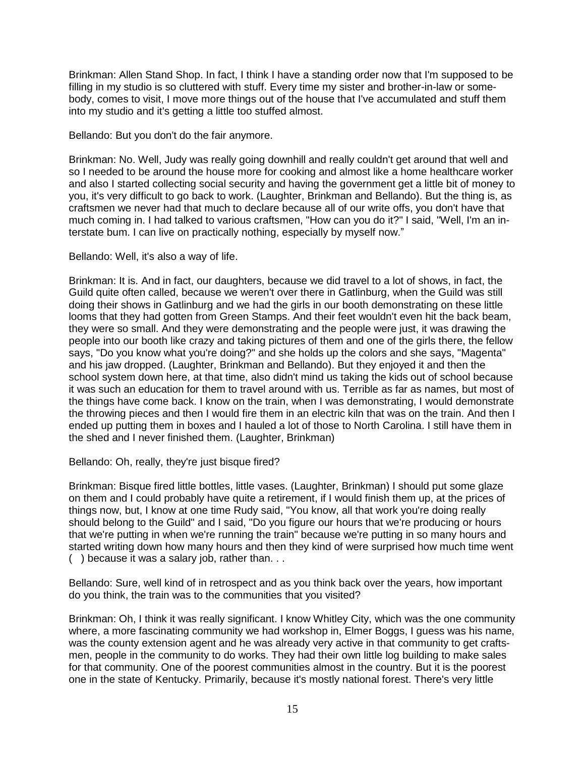Brinkman: Allen Stand Shop. In fact, I think I have a standing order now that I'm supposed to be filling in my studio is so cluttered with stuff. Every time my sister and brother-in-law or somebody, comes to visit, I move more things out of the house that I've accumulated and stuff them into my studio and it's getting a little too stuffed almost.

Bellando: But you don't do the fair anymore.

Brinkman: No. Well, Judy was really going downhill and really couldn't get around that well and so I needed to be around the house more for cooking and almost like a home healthcare worker and also I started collecting social security and having the government get a little bit of money to you, it's very difficult to go back to work. (Laughter, Brinkman and Bellando). But the thing is, as craftsmen we never had that much to declare because all of our write offs, you don't have that much coming in. I had talked to various craftsmen, "How can you do it?" I said, "Well, I'm an interstate bum. I can live on practically nothing, especially by myself now."

Bellando: Well, it's also a way of life.

Brinkman: It is. And in fact, our daughters, because we did travel to a lot of shows, in fact, the Guild quite often called, because we weren't over there in Gatlinburg, when the Guild was still doing their shows in Gatlinburg and we had the girls in our booth demonstrating on these little looms that they had gotten from Green Stamps. And their feet wouldn't even hit the back beam, they were so small. And they were demonstrating and the people were just, it was drawing the people into our booth like crazy and taking pictures of them and one of the girls there, the fellow says, "Do you know what you're doing?" and she holds up the colors and she says, "Magenta" and his jaw dropped. (Laughter, Brinkman and Bellando). But they enjoyed it and then the school system down here, at that time, also didn't mind us taking the kids out of school because it was such an education for them to travel around with us. Terrible as far as names, but most of the things have come back. I know on the train, when I was demonstrating, I would demonstrate the throwing pieces and then I would fire them in an electric kiln that was on the train. And then I ended up putting them in boxes and I hauled a lot of those to North Carolina. I still have them in the shed and I never finished them. (Laughter, Brinkman)

Bellando: Oh, really, they're just bisque fired?

Brinkman: Bisque fired little bottles, little vases. (Laughter, Brinkman) I should put some glaze on them and I could probably have quite a retirement, if I would finish them up, at the prices of things now, but, I know at one time Rudy said, "You know, all that work you're doing really should belong to the Guild" and I said, "Do you figure our hours that we're producing or hours that we're putting in when we're running the train" because we're putting in so many hours and started writing down how many hours and then they kind of were surprised how much time went ( ) because it was a salary job, rather than. . .

Bellando: Sure, well kind of in retrospect and as you think back over the years, how important do you think, the train was to the communities that you visited?

Brinkman: Oh, I think it was really significant. I know Whitley City, which was the one community where, a more fascinating community we had workshop in, Elmer Boggs, I guess was his name, was the county extension agent and he was already very active in that community to get craftsmen, people in the community to do works. They had their own little log building to make sales for that community. One of the poorest communities almost in the country. But it is the poorest one in the state of Kentucky. Primarily, because it's mostly national forest. There's very little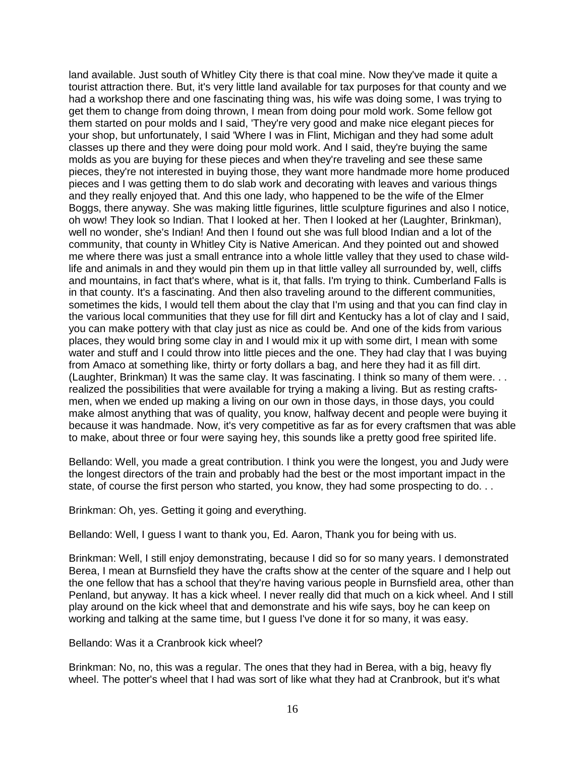land available. Just south of Whitley City there is that coal mine. Now they've made it quite a tourist attraction there. But, it's very little land available for tax purposes for that county and we had a workshop there and one fascinating thing was, his wife was doing some, I was trying to get them to change from doing thrown, I mean from doing pour mold work. Some fellow got them started on pour molds and I said, 'They're very good and make nice elegant pieces for your shop, but unfortunately, I said 'Where I was in Flint, Michigan and they had some adult classes up there and they were doing pour mold work. And I said, they're buying the same molds as you are buying for these pieces and when they're traveling and see these same pieces, they're not interested in buying those, they want more handmade more home produced pieces and I was getting them to do slab work and decorating with leaves and various things and they really enjoyed that. And this one lady, who happened to be the wife of the Elmer Boggs, there anyway. She was making little figurines, little sculpture figurines and also I notice, oh wow! They look so Indian. That I looked at her. Then I looked at her (Laughter, Brinkman), well no wonder, she's Indian! And then I found out she was full blood Indian and a lot of the community, that county in Whitley City is Native American. And they pointed out and showed me where there was just a small entrance into a whole little valley that they used to chase wildlife and animals in and they would pin them up in that little valley all surrounded by, well, cliffs and mountains, in fact that's where, what is it, that falls. I'm trying to think. Cumberland Falls is in that county. It's a fascinating. And then also traveling around to the different communities, sometimes the kids, I would tell them about the clay that I'm using and that you can find clay in the various local communities that they use for fill dirt and Kentucky has a lot of clay and I said, you can make pottery with that clay just as nice as could be. And one of the kids from various places, they would bring some clay in and I would mix it up with some dirt, I mean with some water and stuff and I could throw into little pieces and the one. They had clay that I was buying from Amaco at something like, thirty or forty dollars a bag, and here they had it as fill dirt. (Laughter, Brinkman) It was the same clay. It was fascinating. I think so many of them were. . . realized the possibilities that were available for trying a making a living. But as resting craftsmen, when we ended up making a living on our own in those days, in those days, you could make almost anything that was of quality, you know, halfway decent and people were buying it because it was handmade. Now, it's very competitive as far as for every craftsmen that was able to make, about three or four were saying hey, this sounds like a pretty good free spirited life.

Bellando: Well, you made a great contribution. I think you were the longest, you and Judy were the longest directors of the train and probably had the best or the most important impact in the state, of course the first person who started, you know, they had some prospecting to do. . .

Brinkman: Oh, yes. Getting it going and everything.

Bellando: Well, I guess I want to thank you, Ed. Aaron, Thank you for being with us.

Brinkman: Well, I still enjoy demonstrating, because I did so for so many years. I demonstrated Berea, I mean at Burnsfield they have the crafts show at the center of the square and I help out the one fellow that has a school that they're having various people in Burnsfield area, other than Penland, but anyway. It has a kick wheel. I never really did that much on a kick wheel. And I still play around on the kick wheel that and demonstrate and his wife says, boy he can keep on working and talking at the same time, but I guess I've done it for so many, it was easy.

Bellando: Was it a Cranbrook kick wheel?

Brinkman: No, no, this was a regular. The ones that they had in Berea, with a big, heavy fly wheel. The potter's wheel that I had was sort of like what they had at Cranbrook, but it's what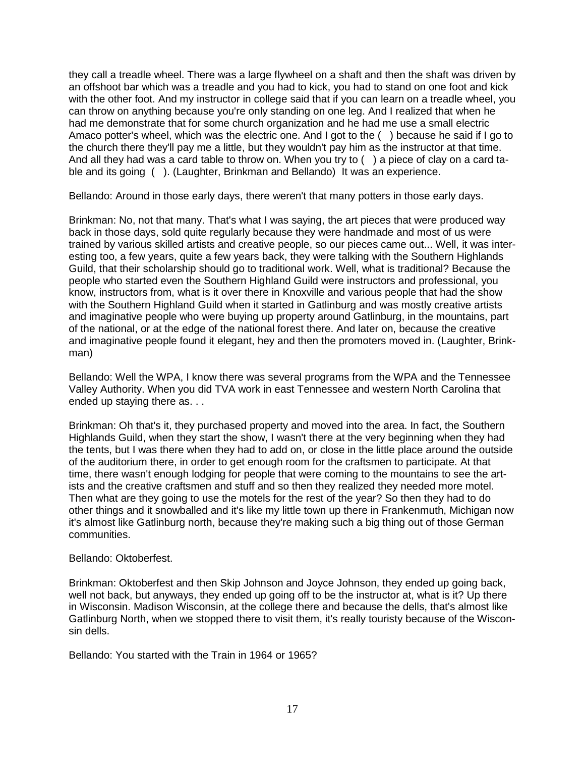they call a treadle wheel. There was a large flywheel on a shaft and then the shaft was driven by an offshoot bar which was a treadle and you had to kick, you had to stand on one foot and kick with the other foot. And my instructor in college said that if you can learn on a treadle wheel, you can throw on anything because you're only standing on one leg. And I realized that when he had me demonstrate that for some church organization and he had me use a small electric Amaco potter's wheel, which was the electric one. And I got to the ( ) because he said if I go to the church there they'll pay me a little, but they wouldn't pay him as the instructor at that time. And all they had was a card table to throw on. When you try to  $($ ) a piece of clay on a card table and its going ( ). (Laughter, Brinkman and Bellando) It was an experience.

Bellando: Around in those early days, there weren't that many potters in those early days.

Brinkman: No, not that many. That's what I was saying, the art pieces that were produced way back in those days, sold quite regularly because they were handmade and most of us were trained by various skilled artists and creative people, so our pieces came out... Well, it was interesting too, a few years, quite a few years back, they were talking with the Southern Highlands Guild, that their scholarship should go to traditional work. Well, what is traditional? Because the people who started even the Southern Highland Guild were instructors and professional, you know, instructors from, what is it over there in Knoxville and various people that had the show with the Southern Highland Guild when it started in Gatlinburg and was mostly creative artists and imaginative people who were buying up property around Gatlinburg, in the mountains, part of the national, or at the edge of the national forest there. And later on, because the creative and imaginative people found it elegant, hey and then the promoters moved in. (Laughter, Brinkman)

Bellando: Well the WPA, I know there was several programs from the WPA and the Tennessee Valley Authority. When you did TVA work in east Tennessee and western North Carolina that ended up staying there as. . .

Brinkman: Oh that's it, they purchased property and moved into the area. In fact, the Southern Highlands Guild, when they start the show, I wasn't there at the very beginning when they had the tents, but I was there when they had to add on, or close in the little place around the outside of the auditorium there, in order to get enough room for the craftsmen to participate. At that time, there wasn't enough lodging for people that were coming to the mountains to see the artists and the creative craftsmen and stuff and so then they realized they needed more motel. Then what are they going to use the motels for the rest of the year? So then they had to do other things and it snowballed and it's like my little town up there in Frankenmuth, Michigan now it's almost like Gatlinburg north, because they're making such a big thing out of those German communities.

## Bellando: Oktoberfest.

Brinkman: Oktoberfest and then Skip Johnson and Joyce Johnson, they ended up going back, well not back, but anyways, they ended up going off to be the instructor at, what is it? Up there in Wisconsin. Madison Wisconsin, at the college there and because the dells, that's almost like Gatlinburg North, when we stopped there to visit them, it's really touristy because of the Wisconsin dells.

Bellando: You started with the Train in 1964 or 1965?